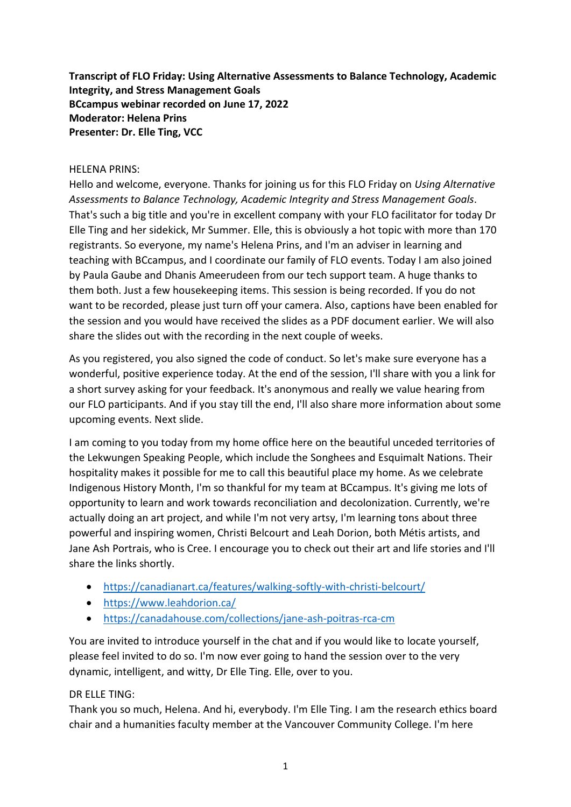**Transcript of FLO Friday: Using Alternative Assessments to Balance Technology, Academic Integrity, and Stress Management Goals BCcampus webinar recorded on June 17, 2022 Moderator: Helena Prins Presenter: Dr. Elle Ting, VCC**

## HELENA PRINS:

Hello and welcome, everyone. Thanks for joining us for this FLO Friday on *Using Alternative Assessments to Balance Technology, Academic Integrity and Stress Management Goals*. That's such a big title and you're in excellent company with your FLO facilitator for today Dr Elle Ting and her sidekick, Mr Summer. Elle, this is obviously a hot topic with more than 170 registrants. So everyone, my name's Helena Prins, and I'm an adviser in learning and teaching with BCcampus, and I coordinate our family of FLO events. Today I am also joined by Paula Gaube and Dhanis Ameerudeen from our tech support team. A huge thanks to them both. Just a few housekeeping items. This session is being recorded. If you do not want to be recorded, please just turn off your camera. Also, captions have been enabled for the session and you would have received the slides as a PDF document earlier. We will also share the slides out with the recording in the next couple of weeks.

As you registered, you also signed the code of conduct. So let's make sure everyone has a wonderful, positive experience today. At the end of the session, I'll share with you a link for a short survey asking for your feedback. It's anonymous and really we value hearing from our FLO participants. And if you stay till the end, I'll also share more information about some upcoming events. Next slide.

I am coming to you today from my home office here on the beautiful unceded territories of the Lekwungen Speaking People, which include the Songhees and Esquimalt Nations. Their hospitality makes it possible for me to call this beautiful place my home. As we celebrate Indigenous History Month, I'm so thankful for my team at BCcampus. It's giving me lots of opportunity to learn and work towards reconciliation and decolonization. Currently, we're actually doing an art project, and while I'm not very artsy, I'm learning tons about three powerful and inspiring women, Christi Belcourt and Leah Dorion, both Métis artists, and Jane Ash Portrais, who is Cree. I encourage you to check out their art and life stories and I'll share the links shortly.

- <https://canadianart.ca/features/walking-softly-with-christi-belcourt/>
- <https://www.leahdorion.ca/>
- <https://canadahouse.com/collections/jane-ash-poitras-rca-cm>

You are invited to introduce yourself in the chat and if you would like to locate yourself, please feel invited to do so. I'm now ever going to hand the session over to the very dynamic, intelligent, and witty, Dr Elle Ting. Elle, over to you.

# DR ELLE TING:

Thank you so much, Helena. And hi, everybody. I'm Elle Ting. I am the research ethics board chair and a humanities faculty member at the Vancouver Community College. I'm here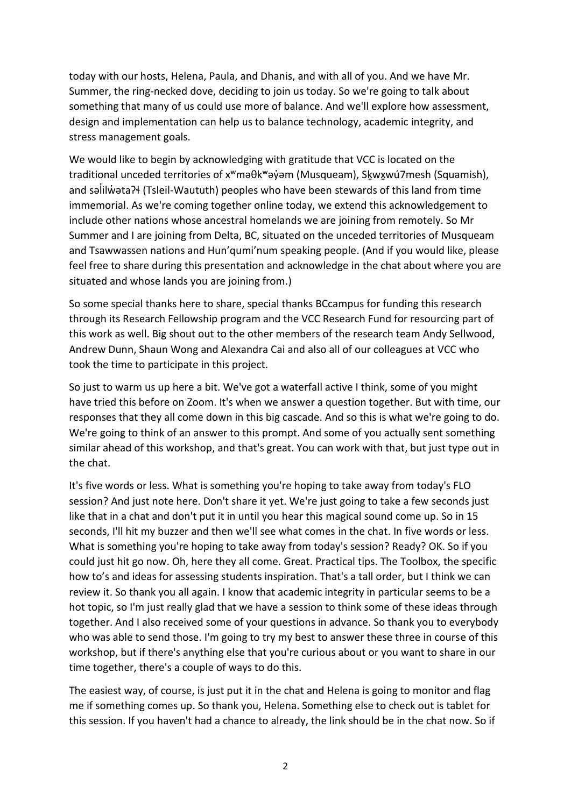today with our hosts, Helena, Paula, and Dhanis, and with all of you. And we have Mr. Summer, the ring-necked dove, deciding to join us today. So we're going to talk about something that many of us could use more of balance. And we'll explore how assessment, design and implementation can help us to balance technology, academic integrity, and stress management goals.

We would like to begin by acknowledging with gratitude that VCC is located on the traditional unceded territories of x<sup>w</sup>məθk<sup>w</sup>əy̓əm (Musqueam), Skwxwú7mesh (Squamish), and salilwata? (Tsleil-Waututh) peoples who have been stewards of this land from time immemorial. As we're coming together online today, we extend this acknowledgement to include other nations whose ancestral homelands we are joining from remotely. So Mr Summer and I are joining from Delta, BC, situated on the unceded territories of Musqueam and Tsawwassen nations and Hun'qumi'num speaking people. (And if you would like, please feel free to share during this presentation and acknowledge in the chat about where you are situated and whose lands you are joining from.)

So some special thanks here to share, special thanks BCcampus for funding this research through its Research Fellowship program and the VCC Research Fund for resourcing part of this work as well. Big shout out to the other members of the research team Andy Sellwood, Andrew Dunn, Shaun Wong and Alexandra Cai and also all of our colleagues at VCC who took the time to participate in this project.

So just to warm us up here a bit. We've got a waterfall active I think, some of you might have tried this before on Zoom. It's when we answer a question together. But with time, our responses that they all come down in this big cascade. And so this is what we're going to do. We're going to think of an answer to this prompt. And some of you actually sent something similar ahead of this workshop, and that's great. You can work with that, but just type out in the chat.

It's five words or less. What is something you're hoping to take away from today's FLO session? And just note here. Don't share it yet. We're just going to take a few seconds just like that in a chat and don't put it in until you hear this magical sound come up. So in 15 seconds, I'll hit my buzzer and then we'll see what comes in the chat. In five words or less. What is something you're hoping to take away from today's session? Ready? OK. So if you could just hit go now. Oh, here they all come. Great. Practical tips. The Toolbox, the specific how to's and ideas for assessing students inspiration. That's a tall order, but I think we can review it. So thank you all again. I know that academic integrity in particular seems to be a hot topic, so I'm just really glad that we have a session to think some of these ideas through together. And I also received some of your questions in advance. So thank you to everybody who was able to send those. I'm going to try my best to answer these three in course of this workshop, but if there's anything else that you're curious about or you want to share in our time together, there's a couple of ways to do this.

The easiest way, of course, is just put it in the chat and Helena is going to monitor and flag me if something comes up. So thank you, Helena. Something else to check out is tablet for this session. If you haven't had a chance to already, the link should be in the chat now. So if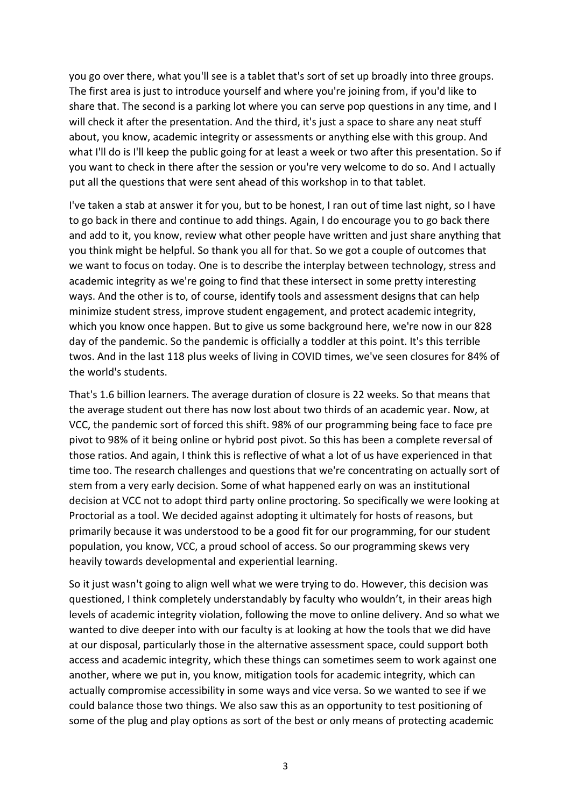you go over there, what you'll see is a tablet that's sort of set up broadly into three groups. The first area is just to introduce yourself and where you're joining from, if you'd like to share that. The second is a parking lot where you can serve pop questions in any time, and I will check it after the presentation. And the third, it's just a space to share any neat stuff about, you know, academic integrity or assessments or anything else with this group. And what I'll do is I'll keep the public going for at least a week or two after this presentation. So if you want to check in there after the session or you're very welcome to do so. And I actually put all the questions that were sent ahead of this workshop in to that tablet.

I've taken a stab at answer it for you, but to be honest, I ran out of time last night, so I have to go back in there and continue to add things. Again, I do encourage you to go back there and add to it, you know, review what other people have written and just share anything that you think might be helpful. So thank you all for that. So we got a couple of outcomes that we want to focus on today. One is to describe the interplay between technology, stress and academic integrity as we're going to find that these intersect in some pretty interesting ways. And the other is to, of course, identify tools and assessment designs that can help minimize student stress, improve student engagement, and protect academic integrity, which you know once happen. But to give us some background here, we're now in our 828 day of the pandemic. So the pandemic is officially a toddler at this point. It's this terrible twos. And in the last 118 plus weeks of living in COVID times, we've seen closures for 84% of the world's students.

That's 1.6 billion learners. The average duration of closure is 22 weeks. So that means that the average student out there has now lost about two thirds of an academic year. Now, at VCC, the pandemic sort of forced this shift. 98% of our programming being face to face pre pivot to 98% of it being online or hybrid post pivot. So this has been a complete reversal of those ratios. And again, I think this is reflective of what a lot of us have experienced in that time too. The research challenges and questions that we're concentrating on actually sort of stem from a very early decision. Some of what happened early on was an institutional decision at VCC not to adopt third party online proctoring. So specifically we were looking at Proctorial as a tool. We decided against adopting it ultimately for hosts of reasons, but primarily because it was understood to be a good fit for our programming, for our student population, you know, VCC, a proud school of access. So our programming skews very heavily towards developmental and experiential learning.

So it just wasn't going to align well what we were trying to do. However, this decision was questioned, I think completely understandably by faculty who wouldn't, in their areas high levels of academic integrity violation, following the move to online delivery. And so what we wanted to dive deeper into with our faculty is at looking at how the tools that we did have at our disposal, particularly those in the alternative assessment space, could support both access and academic integrity, which these things can sometimes seem to work against one another, where we put in, you know, mitigation tools for academic integrity, which can actually compromise accessibility in some ways and vice versa. So we wanted to see if we could balance those two things. We also saw this as an opportunity to test positioning of some of the plug and play options as sort of the best or only means of protecting academic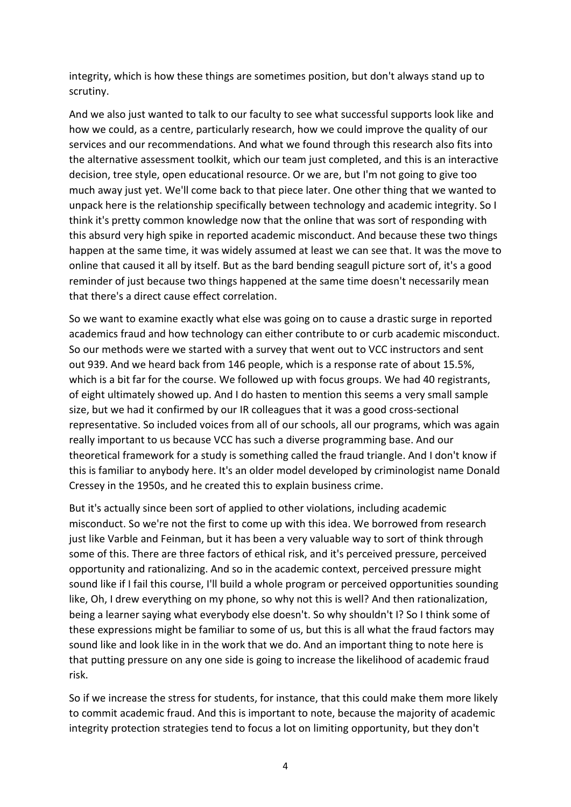integrity, which is how these things are sometimes position, but don't always stand up to scrutiny.

And we also just wanted to talk to our faculty to see what successful supports look like and how we could, as a centre, particularly research, how we could improve the quality of our services and our recommendations. And what we found through this research also fits into the alternative assessment toolkit, which our team just completed, and this is an interactive decision, tree style, open educational resource. Or we are, but I'm not going to give too much away just yet. We'll come back to that piece later. One other thing that we wanted to unpack here is the relationship specifically between technology and academic integrity. So I think it's pretty common knowledge now that the online that was sort of responding with this absurd very high spike in reported academic misconduct. And because these two things happen at the same time, it was widely assumed at least we can see that. It was the move to online that caused it all by itself. But as the bard bending seagull picture sort of, it's a good reminder of just because two things happened at the same time doesn't necessarily mean that there's a direct cause effect correlation.

So we want to examine exactly what else was going on to cause a drastic surge in reported academics fraud and how technology can either contribute to or curb academic misconduct. So our methods were we started with a survey that went out to VCC instructors and sent out 939. And we heard back from 146 people, which is a response rate of about 15.5%, which is a bit far for the course. We followed up with focus groups. We had 40 registrants, of eight ultimately showed up. And I do hasten to mention this seems a very small sample size, but we had it confirmed by our IR colleagues that it was a good cross-sectional representative. So included voices from all of our schools, all our programs, which was again really important to us because VCC has such a diverse programming base. And our theoretical framework for a study is something called the fraud triangle. And I don't know if this is familiar to anybody here. It's an older model developed by criminologist name Donald Cressey in the 1950s, and he created this to explain business crime.

But it's actually since been sort of applied to other violations, including academic misconduct. So we're not the first to come up with this idea. We borrowed from research just like Varble and Feinman, but it has been a very valuable way to sort of think through some of this. There are three factors of ethical risk, and it's perceived pressure, perceived opportunity and rationalizing. And so in the academic context, perceived pressure might sound like if I fail this course, I'll build a whole program or perceived opportunities sounding like, Oh, I drew everything on my phone, so why not this is well? And then rationalization, being a learner saying what everybody else doesn't. So why shouldn't I? So I think some of these expressions might be familiar to some of us, but this is all what the fraud factors may sound like and look like in in the work that we do. And an important thing to note here is that putting pressure on any one side is going to increase the likelihood of academic fraud risk.

So if we increase the stress for students, for instance, that this could make them more likely to commit academic fraud. And this is important to note, because the majority of academic integrity protection strategies tend to focus a lot on limiting opportunity, but they don't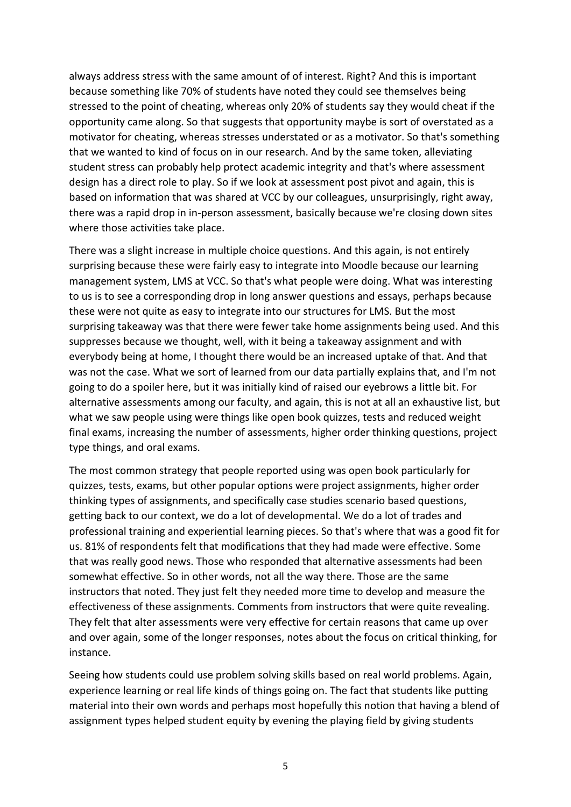always address stress with the same amount of of interest. Right? And this is important because something like 70% of students have noted they could see themselves being stressed to the point of cheating, whereas only 20% of students say they would cheat if the opportunity came along. So that suggests that opportunity maybe is sort of overstated as a motivator for cheating, whereas stresses understated or as a motivator. So that's something that we wanted to kind of focus on in our research. And by the same token, alleviating student stress can probably help protect academic integrity and that's where assessment design has a direct role to play. So if we look at assessment post pivot and again, this is based on information that was shared at VCC by our colleagues, unsurprisingly, right away, there was a rapid drop in in-person assessment, basically because we're closing down sites where those activities take place.

There was a slight increase in multiple choice questions. And this again, is not entirely surprising because these were fairly easy to integrate into Moodle because our learning management system, LMS at VCC. So that's what people were doing. What was interesting to us is to see a corresponding drop in long answer questions and essays, perhaps because these were not quite as easy to integrate into our structures for LMS. But the most surprising takeaway was that there were fewer take home assignments being used. And this suppresses because we thought, well, with it being a takeaway assignment and with everybody being at home, I thought there would be an increased uptake of that. And that was not the case. What we sort of learned from our data partially explains that, and I'm not going to do a spoiler here, but it was initially kind of raised our eyebrows a little bit. For alternative assessments among our faculty, and again, this is not at all an exhaustive list, but what we saw people using were things like open book quizzes, tests and reduced weight final exams, increasing the number of assessments, higher order thinking questions, project type things, and oral exams.

The most common strategy that people reported using was open book particularly for quizzes, tests, exams, but other popular options were project assignments, higher order thinking types of assignments, and specifically case studies scenario based questions, getting back to our context, we do a lot of developmental. We do a lot of trades and professional training and experiential learning pieces. So that's where that was a good fit for us. 81% of respondents felt that modifications that they had made were effective. Some that was really good news. Those who responded that alternative assessments had been somewhat effective. So in other words, not all the way there. Those are the same instructors that noted. They just felt they needed more time to develop and measure the effectiveness of these assignments. Comments from instructors that were quite revealing. They felt that alter assessments were very effective for certain reasons that came up over and over again, some of the longer responses, notes about the focus on critical thinking, for instance.

Seeing how students could use problem solving skills based on real world problems. Again, experience learning or real life kinds of things going on. The fact that students like putting material into their own words and perhaps most hopefully this notion that having a blend of assignment types helped student equity by evening the playing field by giving students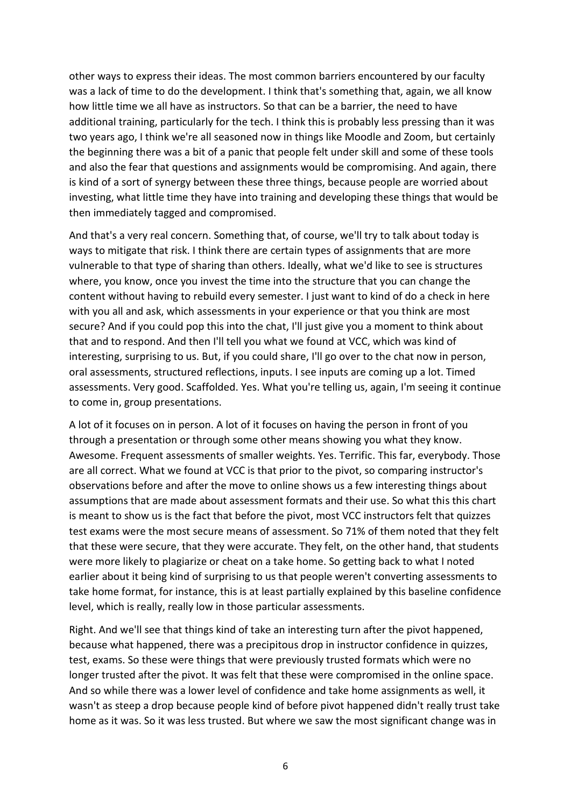other ways to express their ideas. The most common barriers encountered by our faculty was a lack of time to do the development. I think that's something that, again, we all know how little time we all have as instructors. So that can be a barrier, the need to have additional training, particularly for the tech. I think this is probably less pressing than it was two years ago, I think we're all seasoned now in things like Moodle and Zoom, but certainly the beginning there was a bit of a panic that people felt under skill and some of these tools and also the fear that questions and assignments would be compromising. And again, there is kind of a sort of synergy between these three things, because people are worried about investing, what little time they have into training and developing these things that would be then immediately tagged and compromised.

And that's a very real concern. Something that, of course, we'll try to talk about today is ways to mitigate that risk. I think there are certain types of assignments that are more vulnerable to that type of sharing than others. Ideally, what we'd like to see is structures where, you know, once you invest the time into the structure that you can change the content without having to rebuild every semester. I just want to kind of do a check in here with you all and ask, which assessments in your experience or that you think are most secure? And if you could pop this into the chat, I'll just give you a moment to think about that and to respond. And then I'll tell you what we found at VCC, which was kind of interesting, surprising to us. But, if you could share, I'll go over to the chat now in person, oral assessments, structured reflections, inputs. I see inputs are coming up a lot. Timed assessments. Very good. Scaffolded. Yes. What you're telling us, again, I'm seeing it continue to come in, group presentations.

A lot of it focuses on in person. A lot of it focuses on having the person in front of you through a presentation or through some other means showing you what they know. Awesome. Frequent assessments of smaller weights. Yes. Terrific. This far, everybody. Those are all correct. What we found at VCC is that prior to the pivot, so comparing instructor's observations before and after the move to online shows us a few interesting things about assumptions that are made about assessment formats and their use. So what this this chart is meant to show us is the fact that before the pivot, most VCC instructors felt that quizzes test exams were the most secure means of assessment. So 71% of them noted that they felt that these were secure, that they were accurate. They felt, on the other hand, that students were more likely to plagiarize or cheat on a take home. So getting back to what I noted earlier about it being kind of surprising to us that people weren't converting assessments to take home format, for instance, this is at least partially explained by this baseline confidence level, which is really, really low in those particular assessments.

Right. And we'll see that things kind of take an interesting turn after the pivot happened, because what happened, there was a precipitous drop in instructor confidence in quizzes, test, exams. So these were things that were previously trusted formats which were no longer trusted after the pivot. It was felt that these were compromised in the online space. And so while there was a lower level of confidence and take home assignments as well, it wasn't as steep a drop because people kind of before pivot happened didn't really trust take home as it was. So it was less trusted. But where we saw the most significant change was in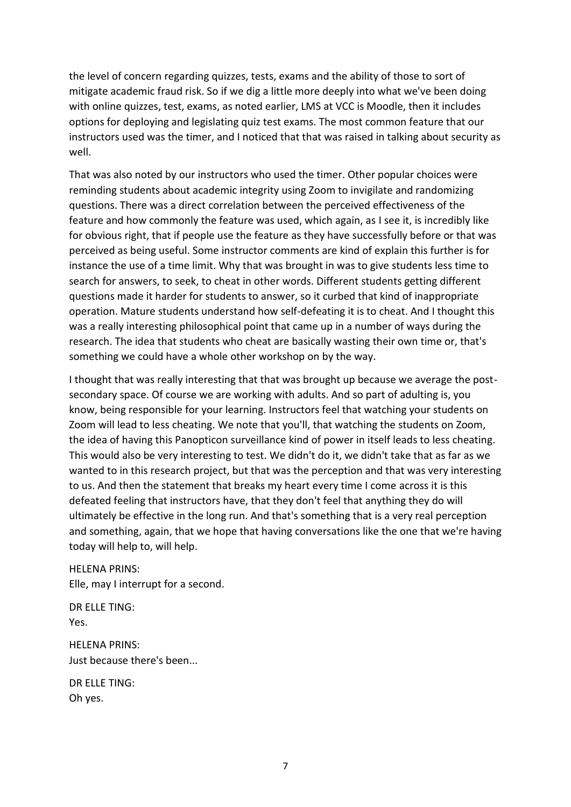the level of concern regarding quizzes, tests, exams and the ability of those to sort of mitigate academic fraud risk. So if we dig a little more deeply into what we've been doing with online quizzes, test, exams, as noted earlier, LMS at VCC is Moodle, then it includes options for deploying and legislating quiz test exams. The most common feature that our instructors used was the timer, and I noticed that that was raised in talking about security as well.

That was also noted by our instructors who used the timer. Other popular choices were reminding students about academic integrity using Zoom to invigilate and randomizing questions. There was a direct correlation between the perceived effectiveness of the feature and how commonly the feature was used, which again, as I see it, is incredibly like for obvious right, that if people use the feature as they have successfully before or that was perceived as being useful. Some instructor comments are kind of explain this further is for instance the use of a time limit. Why that was brought in was to give students less time to search for answers, to seek, to cheat in other words. Different students getting different questions made it harder for students to answer, so it curbed that kind of inappropriate operation. Mature students understand how self-defeating it is to cheat. And I thought this was a really interesting philosophical point that came up in a number of ways during the research. The idea that students who cheat are basically wasting their own time or, that's something we could have a whole other workshop on by the way.

I thought that was really interesting that that was brought up because we average the postsecondary space. Of course we are working with adults. And so part of adulting is, you know, being responsible for your learning. Instructors feel that watching your students on Zoom will lead to less cheating. We note that you'll, that watching the students on Zoom, the idea of having this Panopticon surveillance kind of power in itself leads to less cheating. This would also be very interesting to test. We didn't do it, we didn't take that as far as we wanted to in this research project, but that was the perception and that was very interesting to us. And then the statement that breaks my heart every time I come across it is this defeated feeling that instructors have, that they don't feel that anything they do will ultimately be effective in the long run. And that's something that is a very real perception and something, again, that we hope that having conversations like the one that we're having today will help to, will help.

HELENA PRINS: Elle, may I interrupt for a second.

DR ELLE TING: Yes.

HELENA PRINS: Just because there's been...

DR ELLE TING: Oh yes.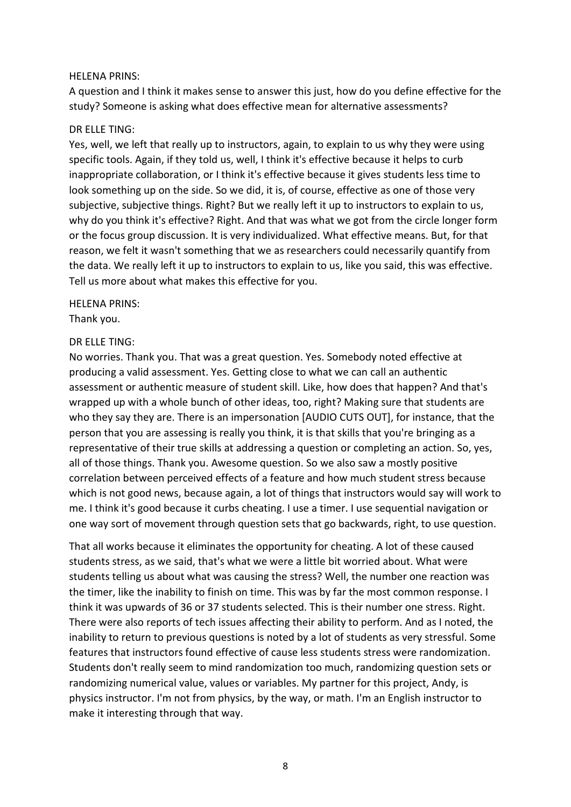#### HELENA PRINS:

A question and I think it makes sense to answer this just, how do you define effective for the study? Someone is asking what does effective mean for alternative assessments?

#### DR ELLE TING:

Yes, well, we left that really up to instructors, again, to explain to us why they were using specific tools. Again, if they told us, well, I think it's effective because it helps to curb inappropriate collaboration, or I think it's effective because it gives students less time to look something up on the side. So we did, it is, of course, effective as one of those very subjective, subjective things. Right? But we really left it up to instructors to explain to us, why do you think it's effective? Right. And that was what we got from the circle longer form or the focus group discussion. It is very individualized. What effective means. But, for that reason, we felt it wasn't something that we as researchers could necessarily quantify from the data. We really left it up to instructors to explain to us, like you said, this was effective. Tell us more about what makes this effective for you.

## HELENA PRINS:

Thank you.

#### DR ELLE TING:

No worries. Thank you. That was a great question. Yes. Somebody noted effective at producing a valid assessment. Yes. Getting close to what we can call an authentic assessment or authentic measure of student skill. Like, how does that happen? And that's wrapped up with a whole bunch of other ideas, too, right? Making sure that students are who they say they are. There is an impersonation [AUDIO CUTS OUT], for instance, that the person that you are assessing is really you think, it is that skills that you're bringing as a representative of their true skills at addressing a question or completing an action. So, yes, all of those things. Thank you. Awesome question. So we also saw a mostly positive correlation between perceived effects of a feature and how much student stress because which is not good news, because again, a lot of things that instructors would say will work to me. I think it's good because it curbs cheating. I use a timer. I use sequential navigation or one way sort of movement through question sets that go backwards, right, to use question.

That all works because it eliminates the opportunity for cheating. A lot of these caused students stress, as we said, that's what we were a little bit worried about. What were students telling us about what was causing the stress? Well, the number one reaction was the timer, like the inability to finish on time. This was by far the most common response. I think it was upwards of 36 or 37 students selected. This is their number one stress. Right. There were also reports of tech issues affecting their ability to perform. And as I noted, the inability to return to previous questions is noted by a lot of students as very stressful. Some features that instructors found effective of cause less students stress were randomization. Students don't really seem to mind randomization too much, randomizing question sets or randomizing numerical value, values or variables. My partner for this project, Andy, is physics instructor. I'm not from physics, by the way, or math. I'm an English instructor to make it interesting through that way.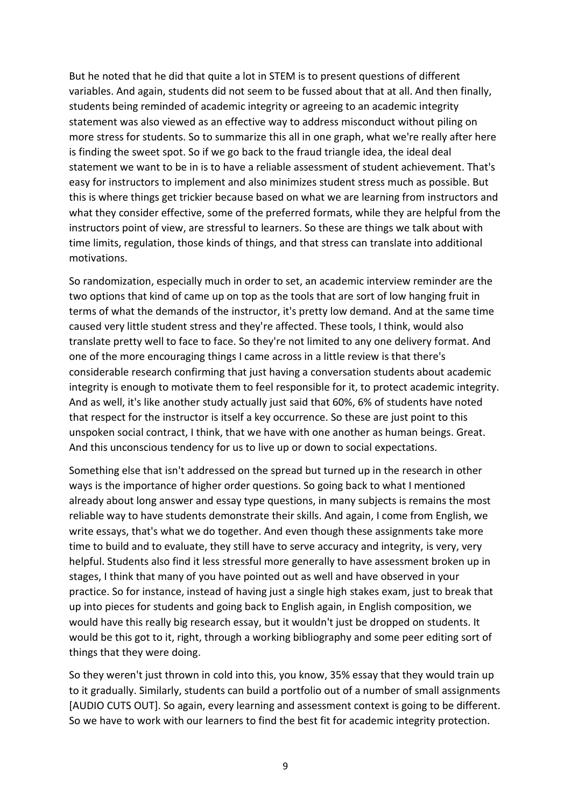But he noted that he did that quite a lot in STEM is to present questions of different variables. And again, students did not seem to be fussed about that at all. And then finally, students being reminded of academic integrity or agreeing to an academic integrity statement was also viewed as an effective way to address misconduct without piling on more stress for students. So to summarize this all in one graph, what we're really after here is finding the sweet spot. So if we go back to the fraud triangle idea, the ideal deal statement we want to be in is to have a reliable assessment of student achievement. That's easy for instructors to implement and also minimizes student stress much as possible. But this is where things get trickier because based on what we are learning from instructors and what they consider effective, some of the preferred formats, while they are helpful from the instructors point of view, are stressful to learners. So these are things we talk about with time limits, regulation, those kinds of things, and that stress can translate into additional motivations.

So randomization, especially much in order to set, an academic interview reminder are the two options that kind of came up on top as the tools that are sort of low hanging fruit in terms of what the demands of the instructor, it's pretty low demand. And at the same time caused very little student stress and they're affected. These tools, I think, would also translate pretty well to face to face. So they're not limited to any one delivery format. And one of the more encouraging things I came across in a little review is that there's considerable research confirming that just having a conversation students about academic integrity is enough to motivate them to feel responsible for it, to protect academic integrity. And as well, it's like another study actually just said that 60%, 6% of students have noted that respect for the instructor is itself a key occurrence. So these are just point to this unspoken social contract, I think, that we have with one another as human beings. Great. And this unconscious tendency for us to live up or down to social expectations.

Something else that isn't addressed on the spread but turned up in the research in other ways is the importance of higher order questions. So going back to what I mentioned already about long answer and essay type questions, in many subjects is remains the most reliable way to have students demonstrate their skills. And again, I come from English, we write essays, that's what we do together. And even though these assignments take more time to build and to evaluate, they still have to serve accuracy and integrity, is very, very helpful. Students also find it less stressful more generally to have assessment broken up in stages, I think that many of you have pointed out as well and have observed in your practice. So for instance, instead of having just a single high stakes exam, just to break that up into pieces for students and going back to English again, in English composition, we would have this really big research essay, but it wouldn't just be dropped on students. It would be this got to it, right, through a working bibliography and some peer editing sort of things that they were doing.

So they weren't just thrown in cold into this, you know, 35% essay that they would train up to it gradually. Similarly, students can build a portfolio out of a number of small assignments [AUDIO CUTS OUT]. So again, every learning and assessment context is going to be different. So we have to work with our learners to find the best fit for academic integrity protection.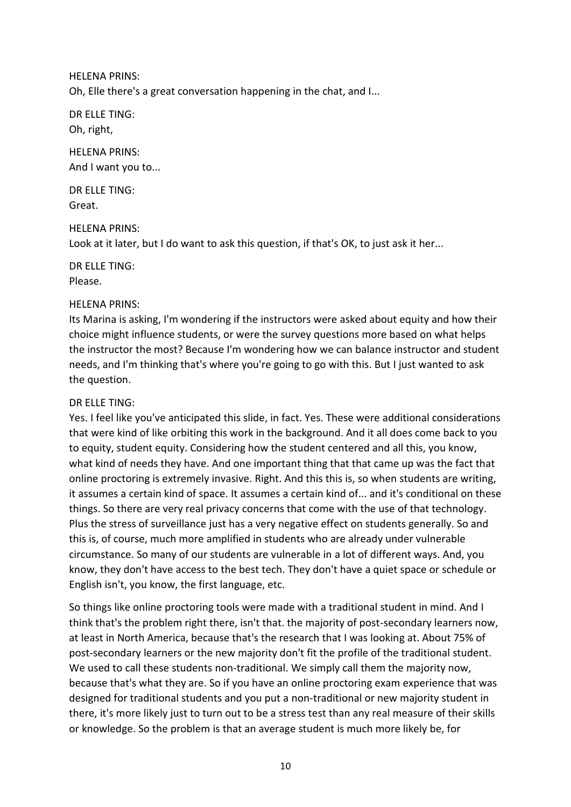HELENA PRINS:

Oh, Elle there's a great conversation happening in the chat, and I...

DR ELLE TING: Oh, right,

HELENA PRINS: And I want you to...

DR ELLE TING: Great.

#### HELENA PRINS:

Look at it later, but I do want to ask this question, if that's OK, to just ask it her...

DR ELLE TING: Please.

#### HELENA PRINS:

Its Marina is asking, I'm wondering if the instructors were asked about equity and how their choice might influence students, or were the survey questions more based on what helps the instructor the most? Because I'm wondering how we can balance instructor and student needs, and I'm thinking that's where you're going to go with this. But I just wanted to ask the question.

#### DR ELLE TING:

Yes. I feel like you've anticipated this slide, in fact. Yes. These were additional considerations that were kind of like orbiting this work in the background. And it all does come back to you to equity, student equity. Considering how the student centered and all this, you know, what kind of needs they have. And one important thing that that came up was the fact that online proctoring is extremely invasive. Right. And this this is, so when students are writing, it assumes a certain kind of space. It assumes a certain kind of... and it's conditional on these things. So there are very real privacy concerns that come with the use of that technology. Plus the stress of surveillance just has a very negative effect on students generally. So and this is, of course, much more amplified in students who are already under vulnerable circumstance. So many of our students are vulnerable in a lot of different ways. And, you know, they don't have access to the best tech. They don't have a quiet space or schedule or English isn't, you know, the first language, etc.

So things like online proctoring tools were made with a traditional student in mind. And I think that's the problem right there, isn't that. the majority of post-secondary learners now, at least in North America, because that's the research that I was looking at. About 75% of post-secondary learners or the new majority don't fit the profile of the traditional student. We used to call these students non-traditional. We simply call them the majority now, because that's what they are. So if you have an online proctoring exam experience that was designed for traditional students and you put a non-traditional or new majority student in there, it's more likely just to turn out to be a stress test than any real measure of their skills or knowledge. So the problem is that an average student is much more likely be, for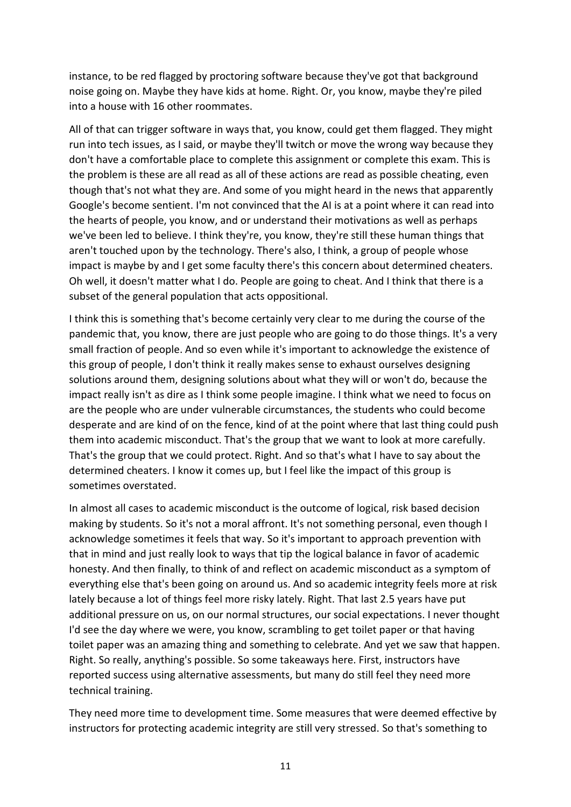instance, to be red flagged by proctoring software because they've got that background noise going on. Maybe they have kids at home. Right. Or, you know, maybe they're piled into a house with 16 other roommates.

All of that can trigger software in ways that, you know, could get them flagged. They might run into tech issues, as I said, or maybe they'll twitch or move the wrong way because they don't have a comfortable place to complete this assignment or complete this exam. This is the problem is these are all read as all of these actions are read as possible cheating, even though that's not what they are. And some of you might heard in the news that apparently Google's become sentient. I'm not convinced that the AI is at a point where it can read into the hearts of people, you know, and or understand their motivations as well as perhaps we've been led to believe. I think they're, you know, they're still these human things that aren't touched upon by the technology. There's also, I think, a group of people whose impact is maybe by and I get some faculty there's this concern about determined cheaters. Oh well, it doesn't matter what I do. People are going to cheat. And I think that there is a subset of the general population that acts oppositional.

I think this is something that's become certainly very clear to me during the course of the pandemic that, you know, there are just people who are going to do those things. It's a very small fraction of people. And so even while it's important to acknowledge the existence of this group of people, I don't think it really makes sense to exhaust ourselves designing solutions around them, designing solutions about what they will or won't do, because the impact really isn't as dire as I think some people imagine. I think what we need to focus on are the people who are under vulnerable circumstances, the students who could become desperate and are kind of on the fence, kind of at the point where that last thing could push them into academic misconduct. That's the group that we want to look at more carefully. That's the group that we could protect. Right. And so that's what I have to say about the determined cheaters. I know it comes up, but I feel like the impact of this group is sometimes overstated.

In almost all cases to academic misconduct is the outcome of logical, risk based decision making by students. So it's not a moral affront. It's not something personal, even though I acknowledge sometimes it feels that way. So it's important to approach prevention with that in mind and just really look to ways that tip the logical balance in favor of academic honesty. And then finally, to think of and reflect on academic misconduct as a symptom of everything else that's been going on around us. And so academic integrity feels more at risk lately because a lot of things feel more risky lately. Right. That last 2.5 years have put additional pressure on us, on our normal structures, our social expectations. I never thought I'd see the day where we were, you know, scrambling to get toilet paper or that having toilet paper was an amazing thing and something to celebrate. And yet we saw that happen. Right. So really, anything's possible. So some takeaways here. First, instructors have reported success using alternative assessments, but many do still feel they need more technical training.

They need more time to development time. Some measures that were deemed effective by instructors for protecting academic integrity are still very stressed. So that's something to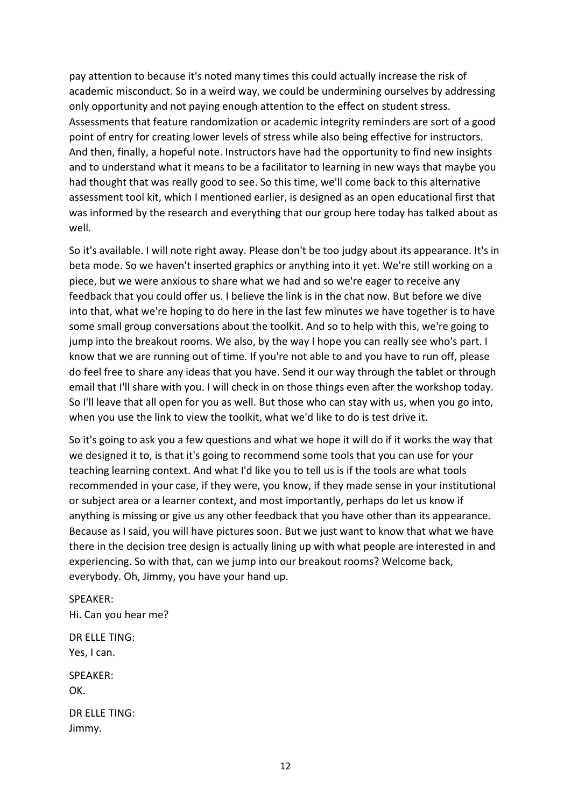pay attention to because it's noted many times this could actually increase the risk of academic misconduct. So in a weird way, we could be undermining ourselves by addressing only opportunity and not paying enough attention to the effect on student stress. Assessments that feature randomization or academic integrity reminders are sort of a good point of entry for creating lower levels of stress while also being effective for instructors. And then, finally, a hopeful note. Instructors have had the opportunity to find new insights and to understand what it means to be a facilitator to learning in new ways that maybe you had thought that was really good to see. So this time, we'll come back to this alternative assessment tool kit, which I mentioned earlier, is designed as an open educational first that was informed by the research and everything that our group here today has talked about as well.

So it's available. I will note right away. Please don't be too judgy about its appearance. It's in beta mode. So we haven't inserted graphics or anything into it yet. We're still working on a piece, but we were anxious to share what we had and so we're eager to receive any feedback that you could offer us. I believe the link is in the chat now. But before we dive into that, what we're hoping to do here in the last few minutes we have together is to have some small group conversations about the toolkit. And so to help with this, we're going to jump into the breakout rooms. We also, by the way I hope you can really see who's part. I know that we are running out of time. If you're not able to and you have to run off, please do feel free to share any ideas that you have. Send it our way through the tablet or through email that I'll share with you. I will check in on those things even after the workshop today. So I'll leave that all open for you as well. But those who can stay with us, when you go into, when you use the link to view the toolkit, what we'd like to do is test drive it.

So it's going to ask you a few questions and what we hope it will do if it works the way that we designed it to, is that it's going to recommend some tools that you can use for your teaching learning context. And what I'd like you to tell us is if the tools are what tools recommended in your case, if they were, you know, if they made sense in your institutional or subject area or a learner context, and most importantly, perhaps do let us know if anything is missing or give us any other feedback that you have other than its appearance. Because as I said, you will have pictures soon. But we just want to know that what we have there in the decision tree design is actually lining up with what people are interested in and experiencing. So with that, can we jump into our breakout rooms? Welcome back, everybody. Oh, Jimmy, you have your hand up.

SPEAKER: Hi. Can you hear me?

DR ELLE TING: Yes, I can.

SPEAKER: OK.

DR ELLE TING: Jimmy.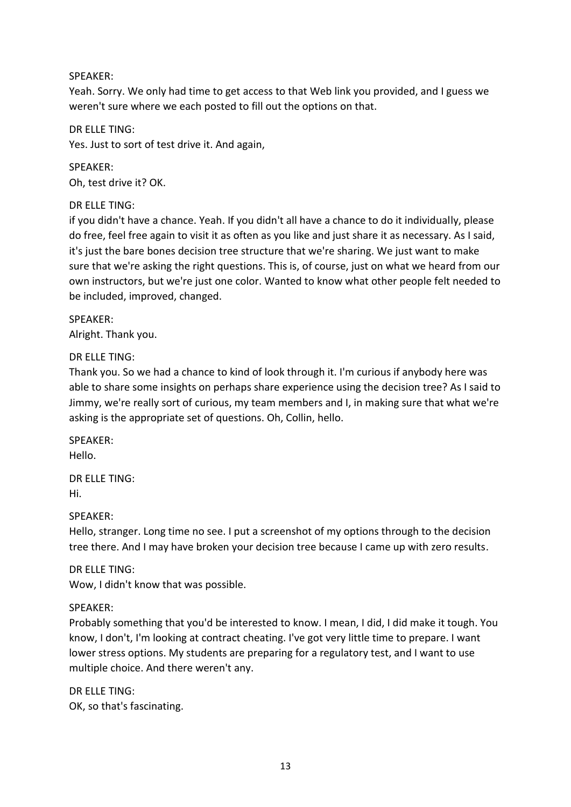## SPEAKER:

Yeah. Sorry. We only had time to get access to that Web link you provided, and I guess we weren't sure where we each posted to fill out the options on that.

DR ELLE TING: Yes. Just to sort of test drive it. And again,

SPEAKER: Oh, test drive it? OK.

DR ELLE TING:

if you didn't have a chance. Yeah. If you didn't all have a chance to do it individually, please do free, feel free again to visit it as often as you like and just share it as necessary. As I said, it's just the bare bones decision tree structure that we're sharing. We just want to make sure that we're asking the right questions. This is, of course, just on what we heard from our own instructors, but we're just one color. Wanted to know what other people felt needed to be included, improved, changed.

SPEAKER: Alright. Thank you.

# DR ELLE TING:

Thank you. So we had a chance to kind of look through it. I'm curious if anybody here was able to share some insights on perhaps share experience using the decision tree? As I said to Jimmy, we're really sort of curious, my team members and I, in making sure that what we're asking is the appropriate set of questions. Oh, Collin, hello.

SPEAKER: Hello.

DR ELLE TING: Hi.

#### SPEAKER:

Hello, stranger. Long time no see. I put a screenshot of my options through to the decision tree there. And I may have broken your decision tree because I came up with zero results.

DR ELLE TING: Wow, I didn't know that was possible.

# SPEAKER:

Probably something that you'd be interested to know. I mean, I did, I did make it tough. You know, I don't, I'm looking at contract cheating. I've got very little time to prepare. I want lower stress options. My students are preparing for a regulatory test, and I want to use multiple choice. And there weren't any.

DR ELLE TING: OK, so that's fascinating.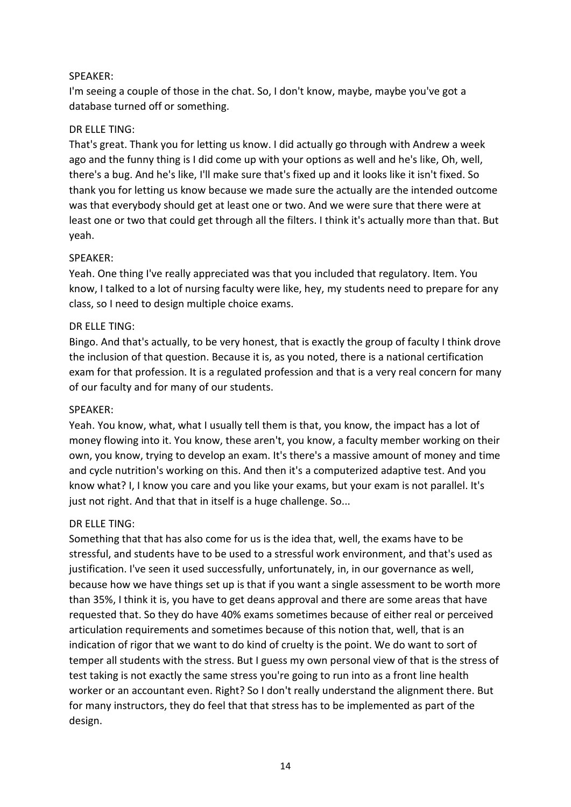## SPEAKER:

I'm seeing a couple of those in the chat. So, I don't know, maybe, maybe you've got a database turned off or something.

## DR ELLE TING:

That's great. Thank you for letting us know. I did actually go through with Andrew a week ago and the funny thing is I did come up with your options as well and he's like, Oh, well, there's a bug. And he's like, I'll make sure that's fixed up and it looks like it isn't fixed. So thank you for letting us know because we made sure the actually are the intended outcome was that everybody should get at least one or two. And we were sure that there were at least one or two that could get through all the filters. I think it's actually more than that. But yeah.

## SPEAKER:

Yeah. One thing I've really appreciated was that you included that regulatory. Item. You know, I talked to a lot of nursing faculty were like, hey, my students need to prepare for any class, so I need to design multiple choice exams.

## DR ELLE TING:

Bingo. And that's actually, to be very honest, that is exactly the group of faculty I think drove the inclusion of that question. Because it is, as you noted, there is a national certification exam for that profession. It is a regulated profession and that is a very real concern for many of our faculty and for many of our students.

#### SPEAKER:

Yeah. You know, what, what I usually tell them is that, you know, the impact has a lot of money flowing into it. You know, these aren't, you know, a faculty member working on their own, you know, trying to develop an exam. It's there's a massive amount of money and time and cycle nutrition's working on this. And then it's a computerized adaptive test. And you know what? I, I know you care and you like your exams, but your exam is not parallel. It's just not right. And that that in itself is a huge challenge. So...

#### DR ELLE TING:

Something that that has also come for us is the idea that, well, the exams have to be stressful, and students have to be used to a stressful work environment, and that's used as justification. I've seen it used successfully, unfortunately, in, in our governance as well, because how we have things set up is that if you want a single assessment to be worth more than 35%, I think it is, you have to get deans approval and there are some areas that have requested that. So they do have 40% exams sometimes because of either real or perceived articulation requirements and sometimes because of this notion that, well, that is an indication of rigor that we want to do kind of cruelty is the point. We do want to sort of temper all students with the stress. But I guess my own personal view of that is the stress of test taking is not exactly the same stress you're going to run into as a front line health worker or an accountant even. Right? So I don't really understand the alignment there. But for many instructors, they do feel that that stress has to be implemented as part of the design.